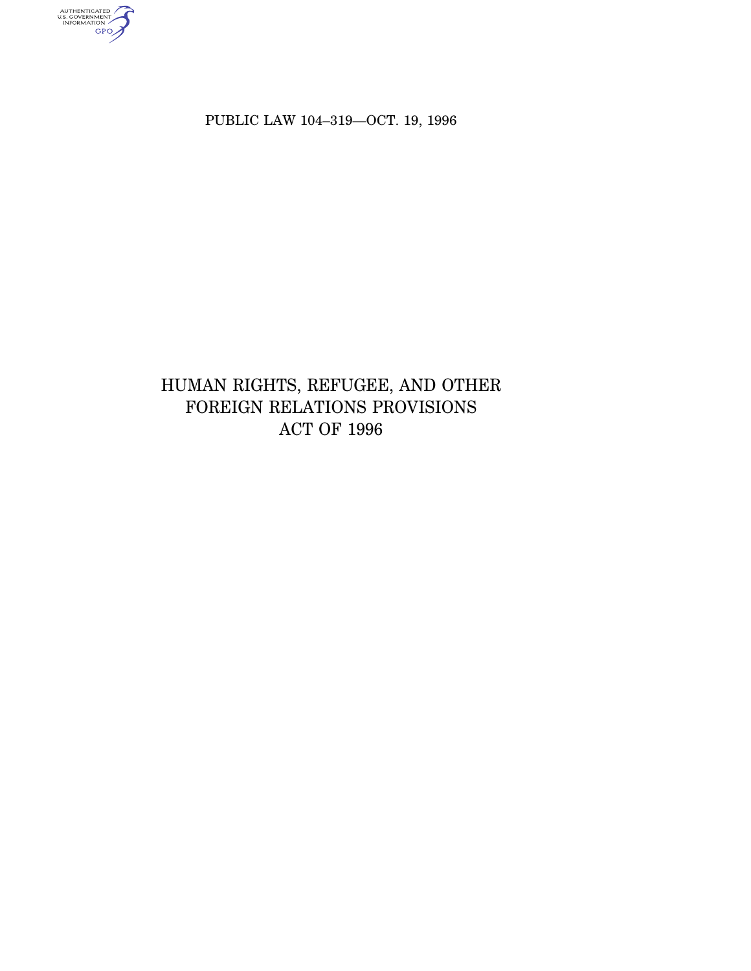authenticated<br>u.s. government<br>information<br>GPO

PUBLIC LAW 104–319—OCT. 19, 1996

# HUMAN RIGHTS, REFUGEE, AND OTHER FOREIGN RELATIONS PROVISIONS ACT OF 1996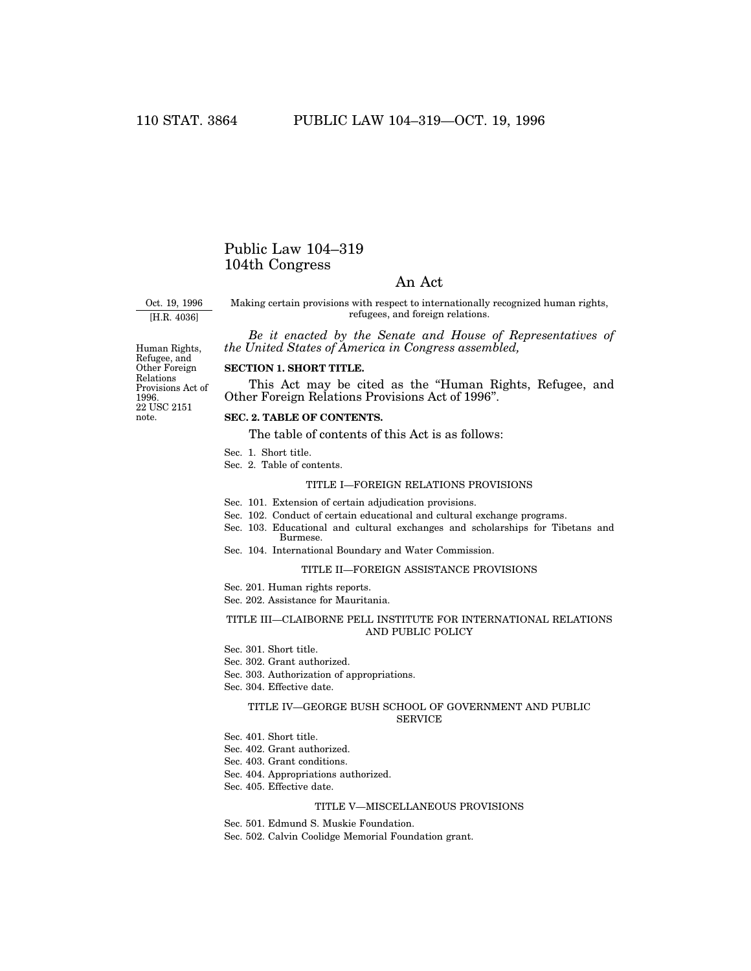# Public Law 104–319 104th Congress

# An Act

Oct. 19, 1996

[H.R. 4036]

Making certain provisions with respect to internationally recognized human rights, refugees, and foreign relations.

*Be it enacted by the Senate and House of Representatives of the United States of America in Congress assembled,*

Provisions Act of

#### **SECTION 1. SHORT TITLE.**

This Act may be cited as the ''Human Rights, Refugee, and Other Foreign Relations Provisions Act of 1996''.

#### **SEC. 2. TABLE OF CONTENTS.**

The table of contents of this Act is as follows:

- Sec. 1. Short title.
- Sec. 2. Table of contents.

#### TITLE I—FOREIGN RELATIONS PROVISIONS

- Sec. 101. Extension of certain adjudication provisions.
- Sec. 102. Conduct of certain educational and cultural exchange programs.
- Sec. 103. Educational and cultural exchanges and scholarships for Tibetans and Burmese.
- Sec. 104. International Boundary and Water Commission.

### TITLE II—FOREIGN ASSISTANCE PROVISIONS

Sec. 201. Human rights reports.

Sec. 202. Assistance for Mauritania.

## TITLE III—CLAIBORNE PELL INSTITUTE FOR INTERNATIONAL RELATIONS AND PUBLIC POLICY

Sec. 301. Short title.

- Sec. 302. Grant authorized.
- Sec. 303. Authorization of appropriations.
- Sec. 304. Effective date.

#### TITLE IV—GEORGE BUSH SCHOOL OF GOVERNMENT AND PUBLIC SERVICE

- Sec. 401. Short title.
- Sec. 402. Grant authorized.
- Sec. 403. Grant conditions.
- Sec. 404. Appropriations authorized.
- Sec. 405. Effective date.

#### TITLE V—MISCELLANEOUS PROVISIONS

Sec. 501. Edmund S. Muskie Foundation.

Sec. 502. Calvin Coolidge Memorial Foundation grant.

22 USC 2151 note. Human Rights, Refugee, and Other Foreign Relations 1996.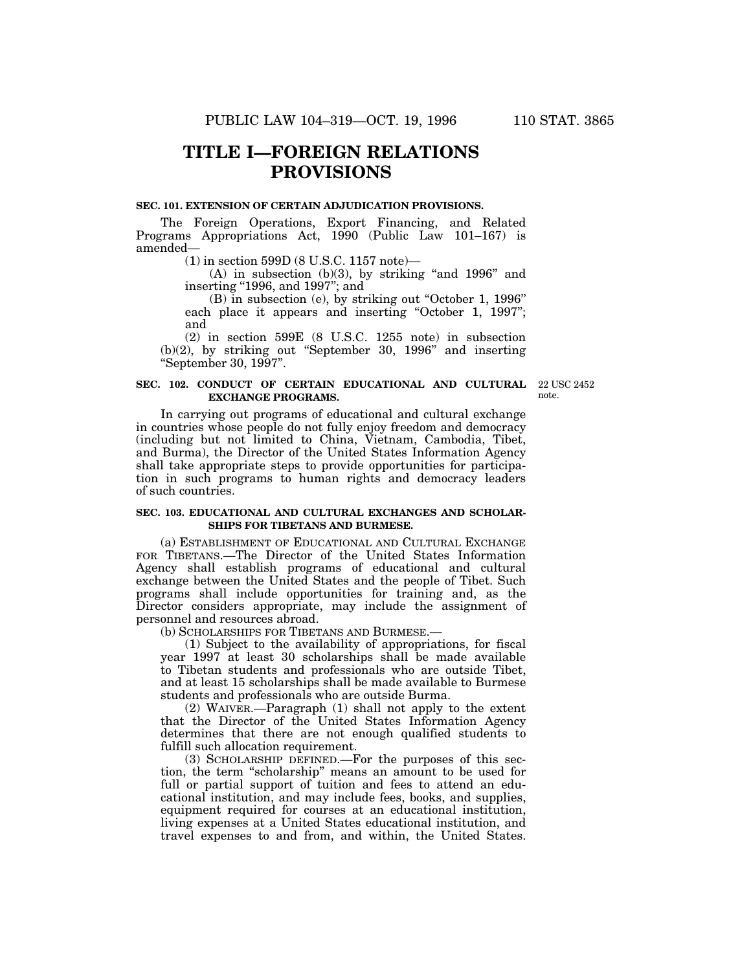# **TITLE I—FOREIGN RELATIONS PROVISIONS**

#### **SEC. 101. EXTENSION OF CERTAIN ADJUDICATION PROVISIONS.**

The Foreign Operations, Export Financing, and Related Programs Appropriations Act, 1990 (Public Law 101–167) is amended—

(1) in section 599D (8 U.S.C. 1157 note)—

 $(A)$  in subsection  $(b)(3)$ , by striking "and 1996" and inserting "1996, and 1997"; and

(B) in subsection (e), by striking out ''October 1, 1996'' each place it appears and inserting "October 1, 1997"; and

(2) in section 599E (8 U.S.C. 1255 note) in subsection (b)(2), by striking out ''September 30, 1996'' and inserting ''September 30, 1997''.

### **SEC. 102. CONDUCT OF CERTAIN EDUCATIONAL AND CULTURAL EXCHANGE PROGRAMS.**

22 USC 2452 note.

In carrying out programs of educational and cultural exchange in countries whose people do not fully enjoy freedom and democracy (including but not limited to China, Vietnam, Cambodia, Tibet, and Burma), the Director of the United States Information Agency shall take appropriate steps to provide opportunities for participation in such programs to human rights and democracy leaders of such countries.

#### **SEC. 103. EDUCATIONAL AND CULTURAL EXCHANGES AND SCHOLAR-SHIPS FOR TIBETANS AND BURMESE.**

(a) ESTABLISHMENT OF EDUCATIONAL AND CULTURAL EXCHANGE FOR TIBETANS.—The Director of the United States Information Agency shall establish programs of educational and cultural exchange between the United States and the people of Tibet. Such programs shall include opportunities for training and, as the Director considers appropriate, may include the assignment of personnel and resources abroad.

(b) SCHOLARSHIPS FOR TIBETANS AND BURMESE.—

(1) Subject to the availability of appropriations, for fiscal year 1997 at least 30 scholarships shall be made available to Tibetan students and professionals who are outside Tibet, and at least 15 scholarships shall be made available to Burmese students and professionals who are outside Burma.

(2) WAIVER.—Paragraph (1) shall not apply to the extent that the Director of the United States Information Agency determines that there are not enough qualified students to fulfill such allocation requirement.

(3) SCHOLARSHIP DEFINED.—For the purposes of this section, the term ''scholarship'' means an amount to be used for full or partial support of tuition and fees to attend an educational institution, and may include fees, books, and supplies, equipment required for courses at an educational institution, living expenses at a United States educational institution, and travel expenses to and from, and within, the United States.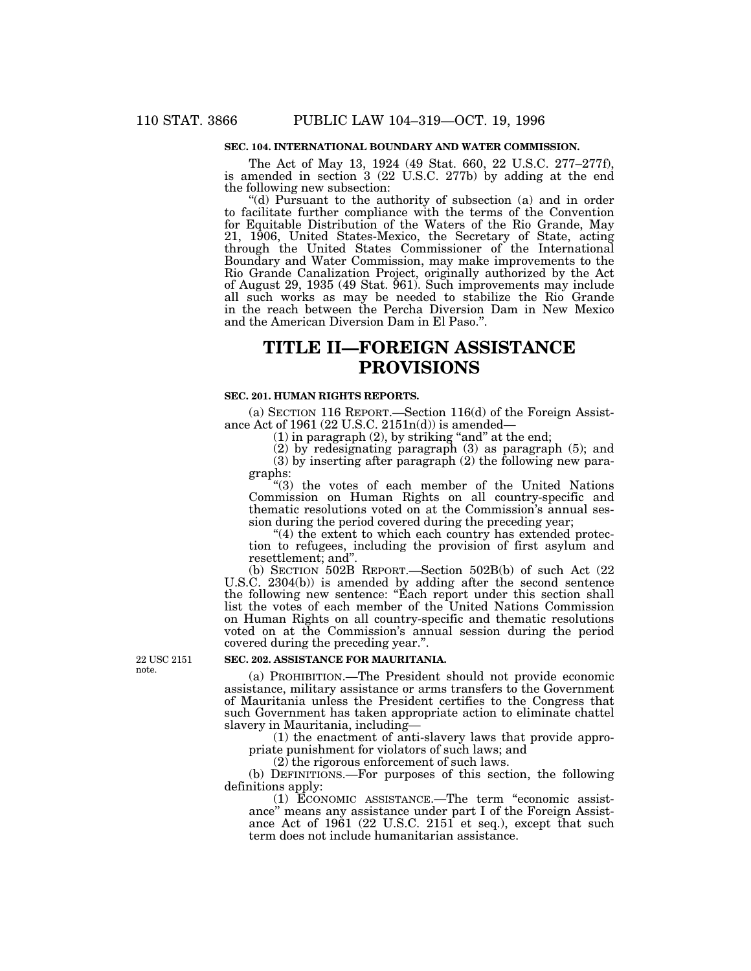### **SEC. 104. INTERNATIONAL BOUNDARY AND WATER COMMISSION.**

The Act of May 13, 1924 (49 Stat. 660, 22 U.S.C. 277–277f), is amended in section 3 (22 U.S.C. 277b) by adding at the end the following new subsection:

(d) Pursuant to the authority of subsection (a) and in order to facilitate further compliance with the terms of the Convention for Equitable Distribution of the Waters of the Rio Grande, May 21, 1906, United States-Mexico, the Secretary of State, acting through the United States Commissioner of the International Boundary and Water Commission, may make improvements to the Rio Grande Canalization Project, originally authorized by the Act of August 29, 1935 (49 Stat. 961). Such improvements may include all such works as may be needed to stabilize the Rio Grande in the reach between the Percha Diversion Dam in New Mexico and the American Diversion Dam in El Paso.''.

# **TITLE II—FOREIGN ASSISTANCE PROVISIONS**

## **SEC. 201. HUMAN RIGHTS REPORTS.**

(a) SECTION 116 REPORT.—Section 116(d) of the Foreign Assistance Act of 1961 (22 U.S.C. 2151n(d)) is amended—

 $(1)$  in paragraph  $(2)$ , by striking "and" at the end;

(2) by redesignating paragraph (3) as paragraph (5); and (3) by inserting after paragraph (2) the following new para-

graphs: ''(3) the votes of each member of the United Nations Commission on Human Rights on all country-specific and thematic resolutions voted on at the Commission's annual session during the period covered during the preceding year;

 $(4)$  the extent to which each country has extended protection to refugees, including the provision of first asylum and resettlement; and''.

(b) SECTION 502B REPORT.—Section 502B(b) of such Act (22 U.S.C. 2304(b)) is amended by adding after the second sentence the following new sentence: ''Each report under this section shall list the votes of each member of the United Nations Commission on Human Rights on all country-specific and thematic resolutions voted on at the Commission's annual session during the period covered during the preceding year.''.

## **SEC. 202. ASSISTANCE FOR MAURITANIA.**

(a) PROHIBITION.—The President should not provide economic assistance, military assistance or arms transfers to the Government of Mauritania unless the President certifies to the Congress that such Government has taken appropriate action to eliminate chattel slavery in Mauritania, including—

(1) the enactment of anti-slavery laws that provide appropriate punishment for violators of such laws; and

 $(2)$  the rigorous enforcement of such laws.

(b) DEFINITIONS.—For purposes of this section, the following definitions apply:

(1) ECONOMIC ASSISTANCE.—The term ''economic assistance'' means any assistance under part I of the Foreign Assistance Act of  $1961$  (22 U.S.C. 2151 et seq.), except that such term does not include humanitarian assistance.

22 USC 2151 note.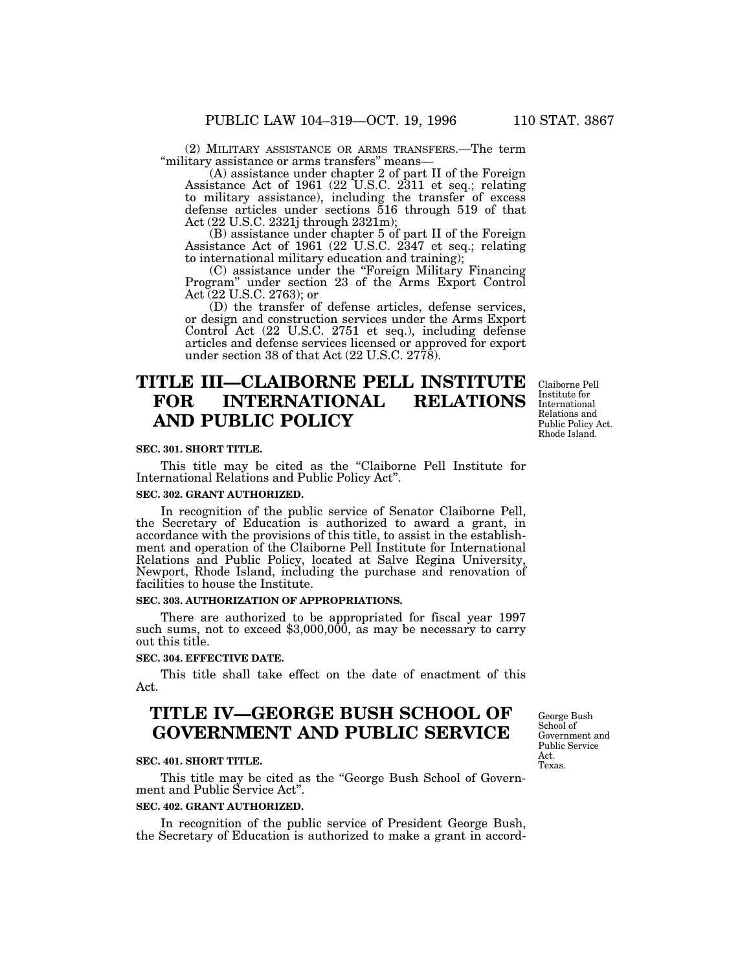(2) MILITARY ASSISTANCE OR ARMS TRANSFERS.—The term ''military assistance or arms transfers'' means—

(A) assistance under chapter 2 of part II of the Foreign Assistance Act of 1961 (22 U.S.C. 2311 et seq.; relating to military assistance), including the transfer of excess defense articles under sections 516 through 519 of that Act (22 U.S.C. 2321j through 2321m);

(B) assistance under chapter 5 of part II of the Foreign Assistance Act of 1961 (22 U.S.C. 2347 et seq.; relating to international military education and training);

(C) assistance under the ''Foreign Military Financing Program'' under section 23 of the Arms Export Control Act (22 U.S.C. 2763); or

(D) the transfer of defense articles, defense services, or design and construction services under the Arms Export Control Act (22 U.S.C. 2751 et seq.), including defense articles and defense services licensed or approved for export under section 38 of that Act (22 U.S.C. 2778).

# **TITLE III—CLAIBORNE PELL INSTITUTE FOR INTERNATIONAL RELATIONS AND PUBLIC POLICY**

Claiborne Pell Institute for International Relations and Public Policy Act. Rhode Island.

#### **SEC. 301. SHORT TITLE.**

This title may be cited as the "Claiborne Pell Institute for International Relations and Public Policy Act''.

#### **SEC. 302. GRANT AUTHORIZED.**

In recognition of the public service of Senator Claiborne Pell, the Secretary of Education is authorized to award a grant, in accordance with the provisions of this title, to assist in the establishment and operation of the Claiborne Pell Institute for International Relations and Public Policy, located at Salve Regina University, Newport, Rhode Island, including the purchase and renovation of facilities to house the Institute.

## **SEC. 303. AUTHORIZATION OF APPROPRIATIONS.**

There are authorized to be appropriated for fiscal year 1997 such sums, not to exceed \$3,000,000, as may be necessary to carry out this title.

# **SEC. 304. EFFECTIVE DATE.**

This title shall take effect on the date of enactment of this Act.

# **TITLE IV—GEORGE BUSH SCHOOL OF GOVERNMENT AND PUBLIC SERVICE**

#### **SEC. 401. SHORT TITLE.**

This title may be cited as the "George Bush School of Government and Public Service Act''.

#### **SEC. 402. GRANT AUTHORIZED.**

In recognition of the public service of President George Bush, the Secretary of Education is authorized to make a grant in accord-

George Bush School of Government and Public Service Act. Texas.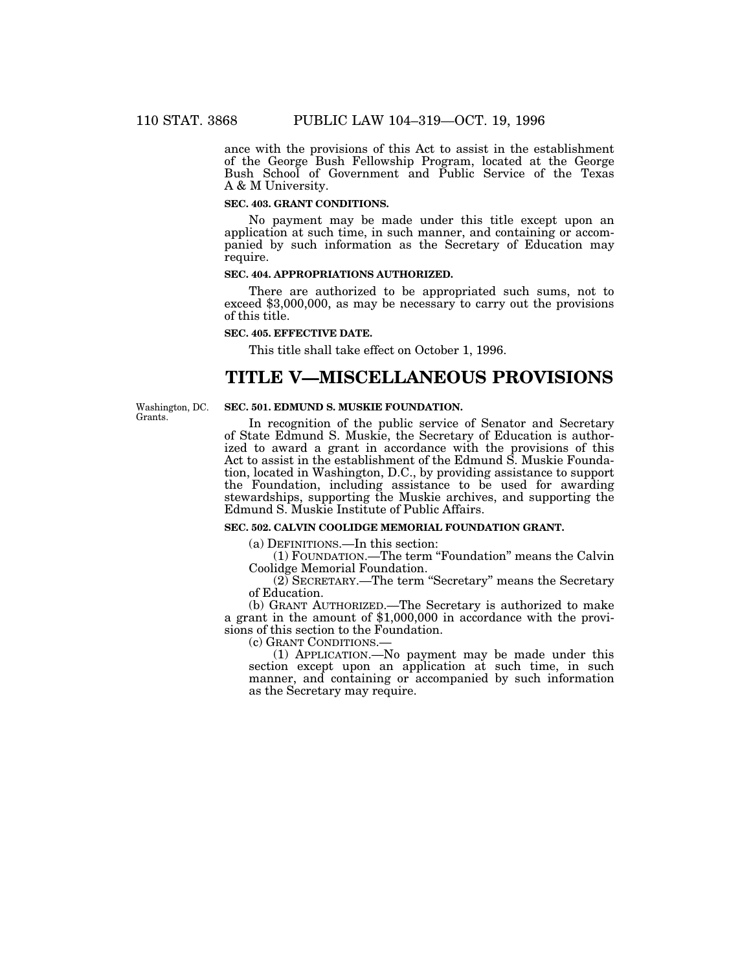ance with the provisions of this Act to assist in the establishment of the George Bush Fellowship Program, located at the George Bush School of Government and Public Service of the Texas A & M University.

### **SEC. 403. GRANT CONDITIONS.**

No payment may be made under this title except upon an application at such time, in such manner, and containing or accompanied by such information as the Secretary of Education may require.

### **SEC. 404. APPROPRIATIONS AUTHORIZED.**

There are authorized to be appropriated such sums, not to exceed \$3,000,000, as may be necessary to carry out the provisions of this title.

#### **SEC. 405. EFFECTIVE DATE.**

This title shall take effect on October 1, 1996.

# **TITLE V—MISCELLANEOUS PROVISIONS**

Washington, DC. Grants.

### **SEC. 501. EDMUND S. MUSKIE FOUNDATION.**

In recognition of the public service of Senator and Secretary of State Edmund S. Muskie, the Secretary of Education is authorized to award a grant in accordance with the provisions of this Act to assist in the establishment of the Edmund S. Muskie Foundation, located in Washington, D.C., by providing assistance to support the Foundation, including assistance to be used for awarding stewardships, supporting the Muskie archives, and supporting the Edmund S. Muskie Institute of Public Affairs.

**SEC. 502. CALVIN COOLIDGE MEMORIAL FOUNDATION GRANT.**

(a) DEFINITIONS.—In this section:

(1) FOUNDATION.—The term ''Foundation'' means the Calvin Coolidge Memorial Foundation.

(2) SECRETARY.—The term ''Secretary'' means the Secretary of Education.

(b) GRANT AUTHORIZED.—The Secretary is authorized to make a grant in the amount of \$1,000,000 in accordance with the provisions of this section to the Foundation.

(c) GRANT CONDITIONS.—

(1) APPLICATION.—No payment may be made under this section except upon an application at such time, in such manner, and containing or accompanied by such information as the Secretary may require.